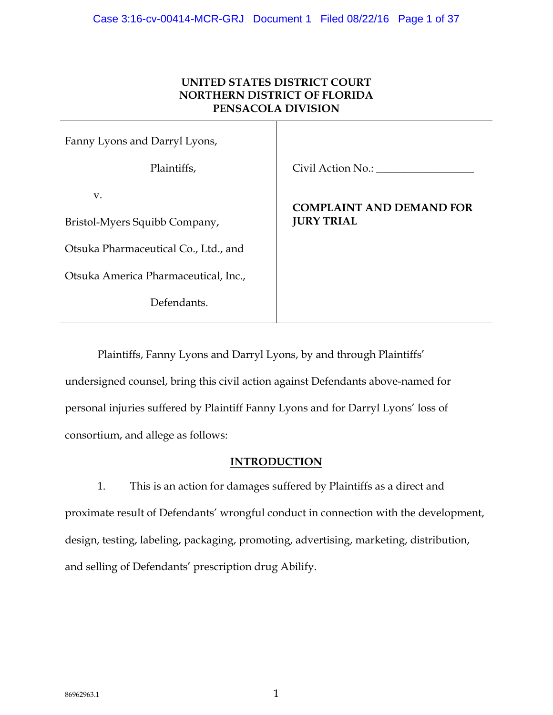# **UNITED STATES DISTRICT COURT NORTHERN DISTRICT OF FLORIDA PENSACOLA DIVISION**

| Fanny Lyons and Darryl Lyons,        |                                 |
|--------------------------------------|---------------------------------|
| Plaintiffs,                          | Civil Action No.:               |
| V.                                   | <b>COMPLAINT AND DEMAND FOR</b> |
| Bristol-Myers Squibb Company,        | <b>JURY TRIAL</b>               |
| Otsuka Pharmaceutical Co., Ltd., and |                                 |
| Otsuka America Pharmaceutical, Inc., |                                 |
| Defendants.                          |                                 |

Plaintiffs, Fanny Lyons and Darryl Lyons, by and through Plaintiffs' undersigned counsel, bring this civil action against Defendants above-named for personal injuries suffered by Plaintiff Fanny Lyons and for Darryl Lyons' loss of consortium, and allege as follows:

## **INTRODUCTION**

1. This is an action for damages suffered by Plaintiffs as a direct and proximate result of Defendants' wrongful conduct in connection with the development, design, testing, labeling, packaging, promoting, advertising, marketing, distribution, and selling of Defendants' prescription drug Abilify.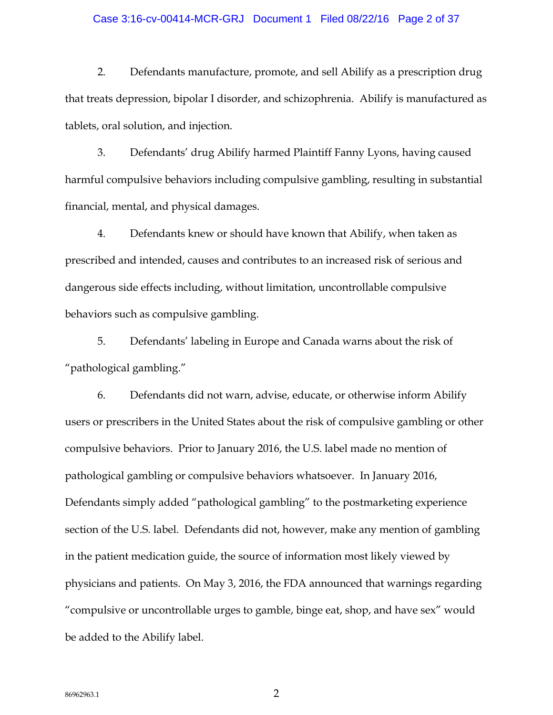#### Case 3:16-cv-00414-MCR-GRJ Document 1 Filed 08/22/16 Page 2 of 37

2. Defendants manufacture, promote, and sell Abilify as a prescription drug that treats depression, bipolar I disorder, and schizophrenia. Abilify is manufactured as tablets, oral solution, and injection.

3. Defendants' drug Abilify harmed Plaintiff Fanny Lyons, having caused harmful compulsive behaviors including compulsive gambling, resulting in substantial financial, mental, and physical damages.

4. Defendants knew or should have known that Abilify, when taken as prescribed and intended, causes and contributes to an increased risk of serious and dangerous side effects including, without limitation, uncontrollable compulsive behaviors such as compulsive gambling.

5. Defendants' labeling in Europe and Canada warns about the risk of "pathological gambling."

6. Defendants did not warn, advise, educate, or otherwise inform Abilify users or prescribers in the United States about the risk of compulsive gambling or other compulsive behaviors. Prior to January 2016, the U.S. label made no mention of pathological gambling or compulsive behaviors whatsoever. In January 2016, Defendants simply added "pathological gambling" to the postmarketing experience section of the U.S. label. Defendants did not, however, make any mention of gambling in the patient medication guide, the source of information most likely viewed by physicians and patients. On May 3, 2016, the FDA announced that warnings regarding "compulsive or uncontrollable urges to gamble, binge eat, shop, and have sex" would be added to the Abilify label.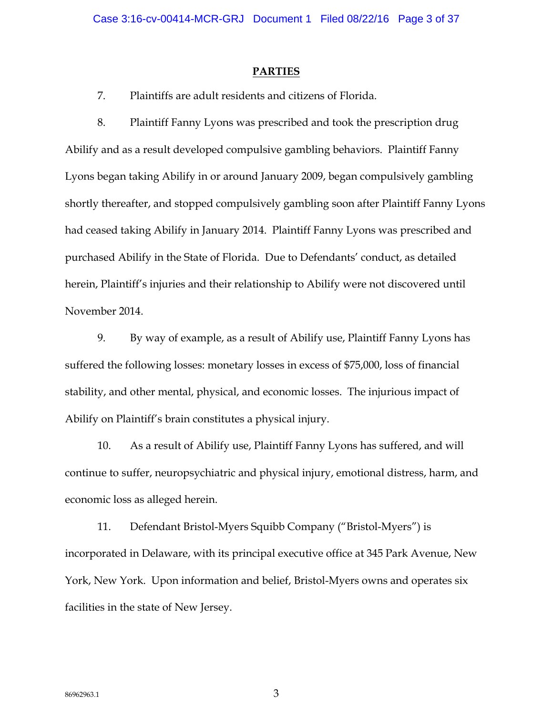### **PARTIES**

7. Plaintiffs are adult residents and citizens of Florida.

8. Plaintiff Fanny Lyons was prescribed and took the prescription drug Abilify and as a result developed compulsive gambling behaviors. Plaintiff Fanny Lyons began taking Abilify in or around January 2009, began compulsively gambling shortly thereafter, and stopped compulsively gambling soon after Plaintiff Fanny Lyons had ceased taking Abilify in January 2014. Plaintiff Fanny Lyons was prescribed and purchased Abilify in the State of Florida. Due to Defendants' conduct, as detailed herein, Plaintiff's injuries and their relationship to Abilify were not discovered until November 2014.

9. By way of example, as a result of Abilify use, Plaintiff Fanny Lyons has suffered the following losses: monetary losses in excess of \$75,000, loss of financial stability, and other mental, physical, and economic losses. The injurious impact of Abilify on Plaintiff's brain constitutes a physical injury.

10. As a result of Abilify use, Plaintiff Fanny Lyons has suffered, and will continue to suffer, neuropsychiatric and physical injury, emotional distress, harm, and economic loss as alleged herein.

11. Defendant Bristol-Myers Squibb Company ("Bristol-Myers") is incorporated in Delaware, with its principal executive office at 345 Park Avenue, New York, New York. Upon information and belief, Bristol-Myers owns and operates six facilities in the state of New Jersey.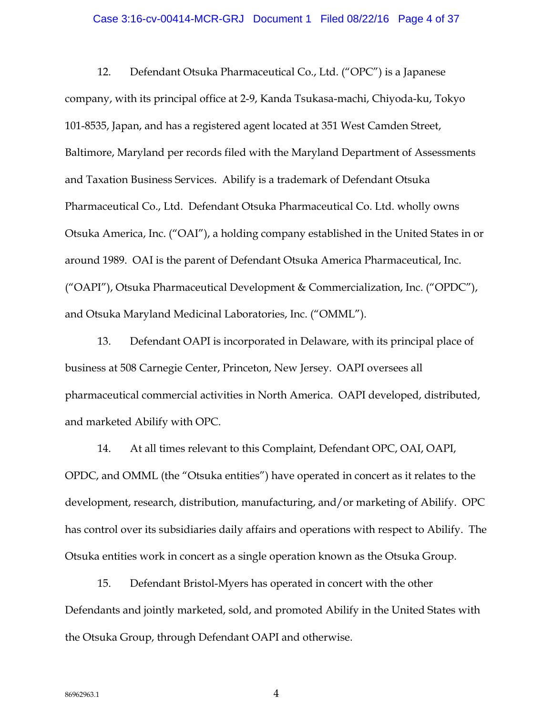#### Case 3:16-cv-00414-MCR-GRJ Document 1 Filed 08/22/16 Page 4 of 37

12. Defendant Otsuka Pharmaceutical Co., Ltd. ("OPC") is a Japanese company, with its principal office at 2-9, Kanda Tsukasa-machi, Chiyoda-ku, Tokyo 101-8535, Japan, and has a registered agent located at 351 West Camden Street, Baltimore, Maryland per records filed with the Maryland Department of Assessments and Taxation Business Services. Abilify is a trademark of Defendant Otsuka Pharmaceutical Co., Ltd. Defendant Otsuka Pharmaceutical Co. Ltd. wholly owns Otsuka America, Inc. ("OAI"), a holding company established in the United States in or around 1989. OAI is the parent of Defendant Otsuka America Pharmaceutical, Inc. ("OAPI"), Otsuka Pharmaceutical Development & Commercialization, Inc. ("OPDC"), and Otsuka Maryland Medicinal Laboratories, Inc. ("OMML").

13. Defendant OAPI is incorporated in Delaware, with its principal place of business at 508 Carnegie Center, Princeton, New Jersey. OAPI oversees all pharmaceutical commercial activities in North America. OAPI developed, distributed, and marketed Abilify with OPC.

14. At all times relevant to this Complaint, Defendant OPC, OAI, OAPI, OPDC, and OMML (the "Otsuka entities") have operated in concert as it relates to the development, research, distribution, manufacturing, and/or marketing of Abilify. OPC has control over its subsidiaries daily affairs and operations with respect to Abilify. The Otsuka entities work in concert as a single operation known as the Otsuka Group.

15. Defendant Bristol-Myers has operated in concert with the other Defendants and jointly marketed, sold, and promoted Abilify in the United States with the Otsuka Group, through Defendant OAPI and otherwise.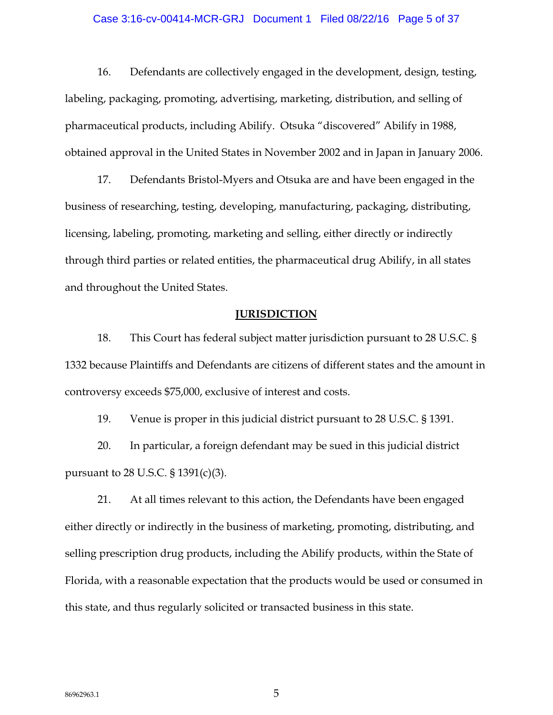### Case 3:16-cv-00414-MCR-GRJ Document 1 Filed 08/22/16 Page 5 of 37

16. Defendants are collectively engaged in the development, design, testing, labeling, packaging, promoting, advertising, marketing, distribution, and selling of pharmaceutical products, including Abilify. Otsuka "discovered" Abilify in 1988, obtained approval in the United States in November 2002 and in Japan in January 2006.

17. Defendants Bristol-Myers and Otsuka are and have been engaged in the business of researching, testing, developing, manufacturing, packaging, distributing, licensing, labeling, promoting, marketing and selling, either directly or indirectly through third parties or related entities, the pharmaceutical drug Abilify, in all states and throughout the United States.

### **JURISDICTION**

18. This Court has federal subject matter jurisdiction pursuant to 28 U.S.C. § 1332 because Plaintiffs and Defendants are citizens of different states and the amount in controversy exceeds \$75,000, exclusive of interest and costs.

19. Venue is proper in this judicial district pursuant to 28 U.S.C. § 1391.

20. In particular, a foreign defendant may be sued in this judicial district pursuant to 28 U.S.C. § 1391(c)(3).

21. At all times relevant to this action, the Defendants have been engaged either directly or indirectly in the business of marketing, promoting, distributing, and selling prescription drug products, including the Abilify products, within the State of Florida, with a reasonable expectation that the products would be used or consumed in this state, and thus regularly solicited or transacted business in this state.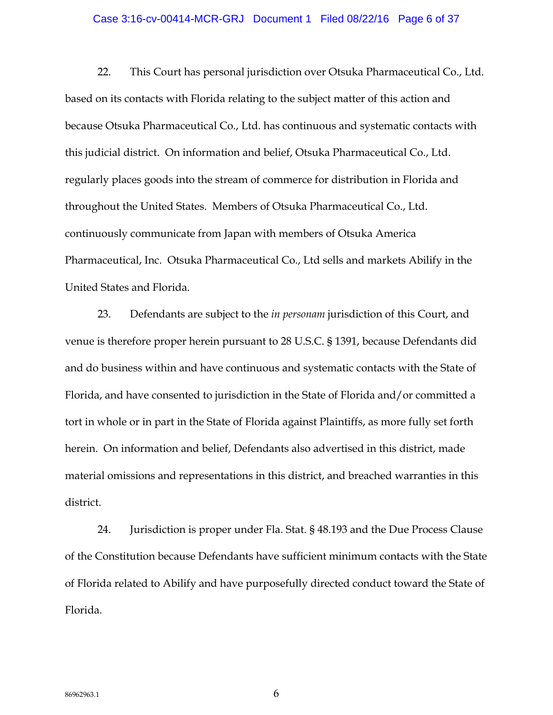#### Case 3:16-cv-00414-MCR-GRJ Document 1 Filed 08/22/16 Page 6 of 37

22. This Court has personal jurisdiction over Otsuka Pharmaceutical Co., Ltd. based on its contacts with Florida relating to the subject matter of this action and because Otsuka Pharmaceutical Co., Ltd. has continuous and systematic contacts with this judicial district. On information and belief, Otsuka Pharmaceutical Co., Ltd. regularly places goods into the stream of commerce for distribution in Florida and throughout the United States. Members of Otsuka Pharmaceutical Co., Ltd. continuously communicate from Japan with members of Otsuka America Pharmaceutical, Inc. Otsuka Pharmaceutical Co., Ltd sells and markets Abilify in the United States and Florida.

23. Defendants are subject to the *in personam* jurisdiction of this Court, and venue is therefore proper herein pursuant to 28 U.S.C. § 1391, because Defendants did and do business within and have continuous and systematic contacts with the State of Florida, and have consented to jurisdiction in the State of Florida and/or committed a tort in whole or in part in the State of Florida against Plaintiffs, as more fully set forth herein. On information and belief, Defendants also advertised in this district, made material omissions and representations in this district, and breached warranties in this district.

24. Jurisdiction is proper under Fla. Stat. § 48.193 and the Due Process Clause of the Constitution because Defendants have sufficient minimum contacts with the State of Florida related to Abilify and have purposefully directed conduct toward the State of Florida.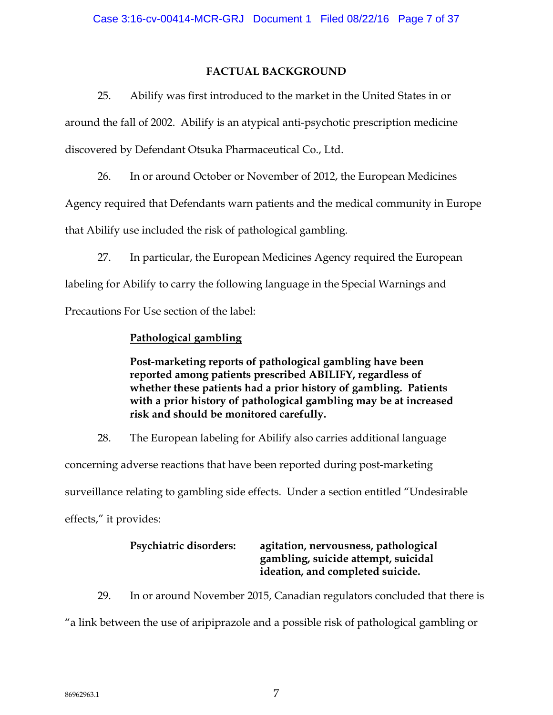## **FACTUAL BACKGROUND**

25. Abilify was first introduced to the market in the United States in or around the fall of 2002. Abilify is an atypical anti-psychotic prescription medicine discovered by Defendant Otsuka Pharmaceutical Co., Ltd.

26. In or around October or November of 2012, the European Medicines

Agency required that Defendants warn patients and the medical community in Europe

that Abilify use included the risk of pathological gambling.

27. In particular, the European Medicines Agency required the European

labeling for Abilify to carry the following language in the Special Warnings and

Precautions For Use section of the label:

# **Pathological gambling**

**Post-marketing reports of pathological gambling have been reported among patients prescribed ABILIFY, regardless of whether these patients had a prior history of gambling. Patients with a prior history of pathological gambling may be at increased risk and should be monitored carefully.** 

28. The European labeling for Abilify also carries additional language

concerning adverse reactions that have been reported during post-marketing surveillance relating to gambling side effects. Under a section entitled "Undesirable effects," it provides:

# **Psychiatric disorders: agitation, nervousness, pathological gambling, suicide attempt, suicidal ideation, and completed suicide.**

29. In or around November 2015, Canadian regulators concluded that there is "a link between the use of aripiprazole and a possible risk of pathological gambling or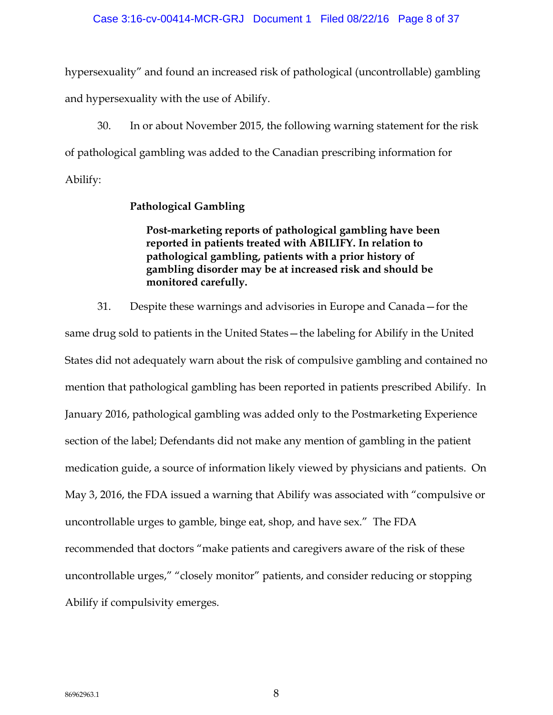### Case 3:16-cv-00414-MCR-GRJ Document 1 Filed 08/22/16 Page 8 of 37

hypersexuality" and found an increased risk of pathological (uncontrollable) gambling and hypersexuality with the use of Abilify.

30. In or about November 2015, the following warning statement for the risk of pathological gambling was added to the Canadian prescribing information for Abilify:

## **Pathological Gambling**

**Post-marketing reports of pathological gambling have been reported in patients treated with ABILIFY. In relation to pathological gambling, patients with a prior history of gambling disorder may be at increased risk and should be monitored carefully.** 

31. Despite these warnings and advisories in Europe and Canada—for the same drug sold to patients in the United States—the labeling for Abilify in the United States did not adequately warn about the risk of compulsive gambling and contained no mention that pathological gambling has been reported in patients prescribed Abilify. In January 2016, pathological gambling was added only to the Postmarketing Experience section of the label; Defendants did not make any mention of gambling in the patient medication guide, a source of information likely viewed by physicians and patients. On May 3, 2016, the FDA issued a warning that Abilify was associated with "compulsive or uncontrollable urges to gamble, binge eat, shop, and have sex." The FDA recommended that doctors "make patients and caregivers aware of the risk of these uncontrollable urges," "closely monitor" patients, and consider reducing or stopping Abilify if compulsivity emerges.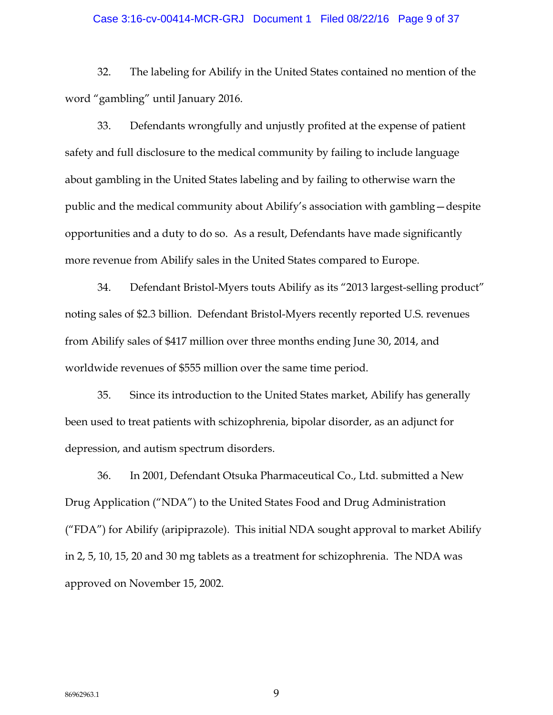#### Case 3:16-cv-00414-MCR-GRJ Document 1 Filed 08/22/16 Page 9 of 37

32. The labeling for Abilify in the United States contained no mention of the word "gambling" until January 2016.

33. Defendants wrongfully and unjustly profited at the expense of patient safety and full disclosure to the medical community by failing to include language about gambling in the United States labeling and by failing to otherwise warn the public and the medical community about Abilify's association with gambling—despite opportunities and a duty to do so. As a result, Defendants have made significantly more revenue from Abilify sales in the United States compared to Europe.

34. Defendant Bristol-Myers touts Abilify as its "2013 largest-selling product" noting sales of \$2.3 billion. Defendant Bristol-Myers recently reported U.S. revenues from Abilify sales of \$417 million over three months ending June 30, 2014, and worldwide revenues of \$555 million over the same time period.

35. Since its introduction to the United States market, Abilify has generally been used to treat patients with schizophrenia, bipolar disorder, as an adjunct for depression, and autism spectrum disorders.

36. In 2001, Defendant Otsuka Pharmaceutical Co., Ltd. submitted a New Drug Application ("NDA") to the United States Food and Drug Administration ("FDA") for Abilify (aripiprazole). This initial NDA sought approval to market Abilify in 2, 5, 10, 15, 20 and 30 mg tablets as a treatment for schizophrenia. The NDA was approved on November 15, 2002.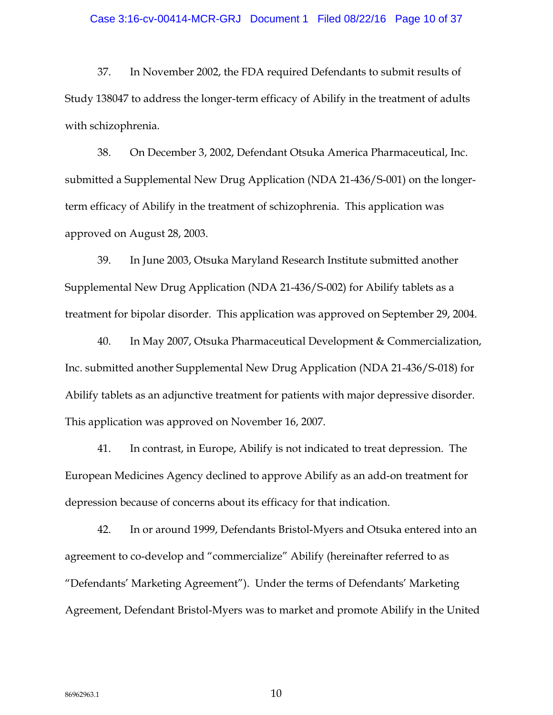#### Case 3:16-cv-00414-MCR-GRJ Document 1 Filed 08/22/16 Page 10 of 37

37. In November 2002, the FDA required Defendants to submit results of Study 138047 to address the longer-term efficacy of Abilify in the treatment of adults with schizophrenia.

38. On December 3, 2002, Defendant Otsuka America Pharmaceutical, Inc. submitted a Supplemental New Drug Application (NDA 21-436/S-001) on the longerterm efficacy of Abilify in the treatment of schizophrenia. This application was approved on August 28, 2003.

39. In June 2003, Otsuka Maryland Research Institute submitted another Supplemental New Drug Application (NDA 21-436/S-002) for Abilify tablets as a treatment for bipolar disorder. This application was approved on September 29, 2004.

40. In May 2007, Otsuka Pharmaceutical Development & Commercialization, Inc. submitted another Supplemental New Drug Application (NDA 21-436/S-018) for Abilify tablets as an adjunctive treatment for patients with major depressive disorder. This application was approved on November 16, 2007.

41. In contrast, in Europe, Abilify is not indicated to treat depression. The European Medicines Agency declined to approve Abilify as an add-on treatment for depression because of concerns about its efficacy for that indication.

42. In or around 1999, Defendants Bristol-Myers and Otsuka entered into an agreement to co-develop and "commercialize" Abilify (hereinafter referred to as "Defendants' Marketing Agreement"). Under the terms of Defendants' Marketing Agreement, Defendant Bristol-Myers was to market and promote Abilify in the United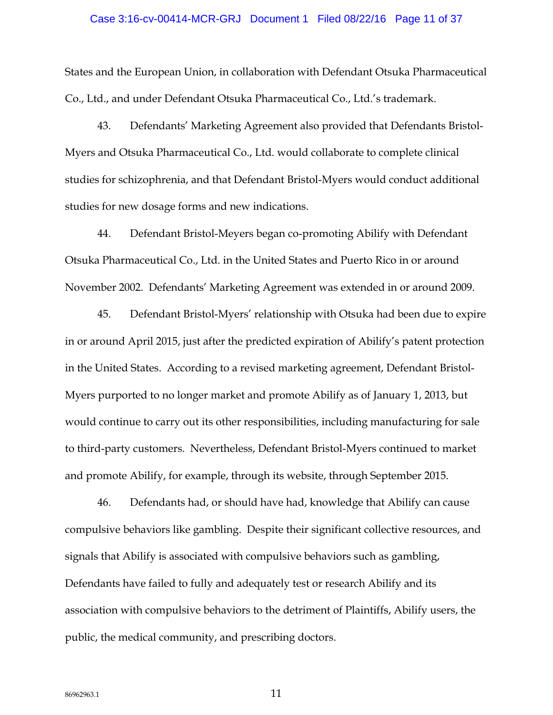#### Case 3:16-cv-00414-MCR-GRJ Document 1 Filed 08/22/16 Page 11 of 37

States and the European Union, in collaboration with Defendant Otsuka Pharmaceutical Co., Ltd., and under Defendant Otsuka Pharmaceutical Co., Ltd.'s trademark.

43. Defendants' Marketing Agreement also provided that Defendants Bristol-Myers and Otsuka Pharmaceutical Co., Ltd. would collaborate to complete clinical studies for schizophrenia, and that Defendant Bristol-Myers would conduct additional studies for new dosage forms and new indications.

44. Defendant Bristol-Meyers began co-promoting Abilify with Defendant Otsuka Pharmaceutical Co., Ltd. in the United States and Puerto Rico in or around November 2002. Defendants' Marketing Agreement was extended in or around 2009.

45. Defendant Bristol-Myers' relationship with Otsuka had been due to expire in or around April 2015, just after the predicted expiration of Abilify's patent protection in the United States. According to a revised marketing agreement, Defendant Bristol-Myers purported to no longer market and promote Abilify as of January 1, 2013, but would continue to carry out its other responsibilities, including manufacturing for sale to third-party customers. Nevertheless, Defendant Bristol-Myers continued to market and promote Abilify, for example, through its website, through September 2015.

46. Defendants had, or should have had, knowledge that Abilify can cause compulsive behaviors like gambling. Despite their significant collective resources, and signals that Abilify is associated with compulsive behaviors such as gambling, Defendants have failed to fully and adequately test or research Abilify and its association with compulsive behaviors to the detriment of Plaintiffs, Abilify users, the public, the medical community, and prescribing doctors.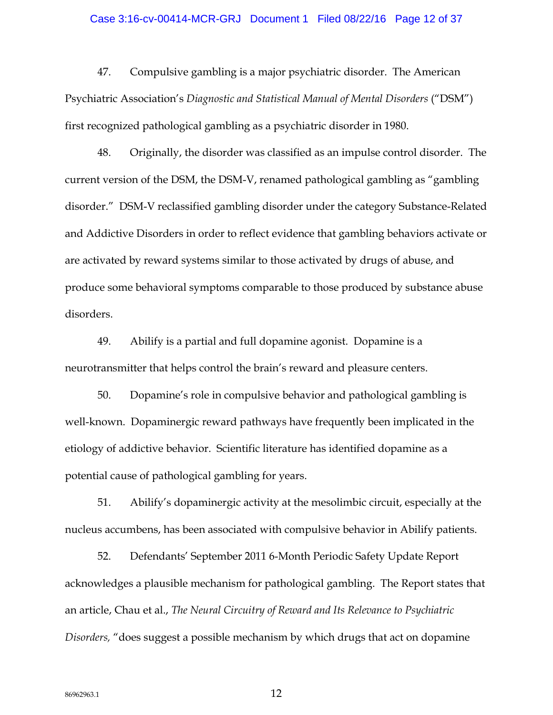### Case 3:16-cv-00414-MCR-GRJ Document 1 Filed 08/22/16 Page 12 of 37

47. Compulsive gambling is a major psychiatric disorder. The American Psychiatric Association's *Diagnostic and Statistical Manual of Mental Disorders* ("DSM") first recognized pathological gambling as a psychiatric disorder in 1980.

48. Originally, the disorder was classified as an impulse control disorder. The current version of the DSM, the DSM-V, renamed pathological gambling as "gambling disorder." DSM-V reclassified gambling disorder under the category Substance-Related and Addictive Disorders in order to reflect evidence that gambling behaviors activate or are activated by reward systems similar to those activated by drugs of abuse, and produce some behavioral symptoms comparable to those produced by substance abuse disorders.

49. Abilify is a partial and full dopamine agonist. Dopamine is a neurotransmitter that helps control the brain's reward and pleasure centers.

50. Dopamine's role in compulsive behavior and pathological gambling is well-known. Dopaminergic reward pathways have frequently been implicated in the etiology of addictive behavior. Scientific literature has identified dopamine as a potential cause of pathological gambling for years.

51. Abilify's dopaminergic activity at the mesolimbic circuit, especially at the nucleus accumbens, has been associated with compulsive behavior in Abilify patients.

52. Defendants' September 2011 6-Month Periodic Safety Update Report acknowledges a plausible mechanism for pathological gambling. The Report states that an article, Chau et al., *The Neural Circuitry of Reward and Its Relevance to Psychiatric Disorders,* "does suggest a possible mechanism by which drugs that act on dopamine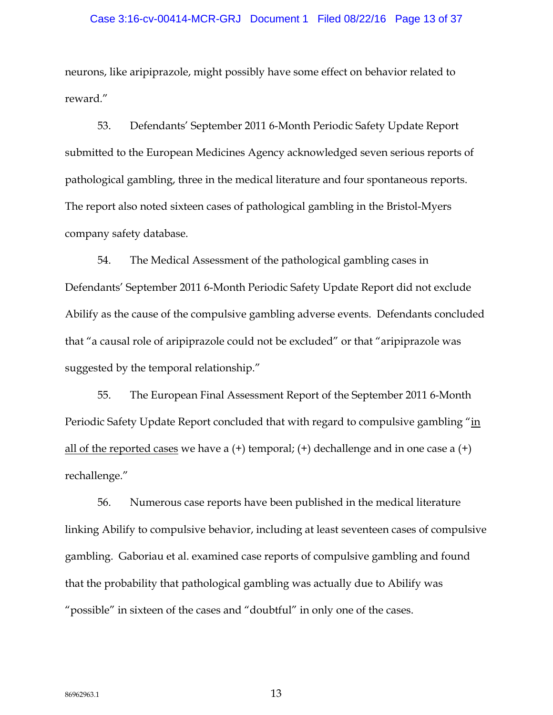#### Case 3:16-cv-00414-MCR-GRJ Document 1 Filed 08/22/16 Page 13 of 37

neurons, like aripiprazole, might possibly have some effect on behavior related to reward."

53. Defendants' September 2011 6-Month Periodic Safety Update Report submitted to the European Medicines Agency acknowledged seven serious reports of pathological gambling, three in the medical literature and four spontaneous reports. The report also noted sixteen cases of pathological gambling in the Bristol-Myers company safety database.

54. The Medical Assessment of the pathological gambling cases in Defendants' September 2011 6-Month Periodic Safety Update Report did not exclude Abilify as the cause of the compulsive gambling adverse events. Defendants concluded that "a causal role of aripiprazole could not be excluded" or that "aripiprazole was suggested by the temporal relationship."

55. The European Final Assessment Report of the September 2011 6-Month Periodic Safety Update Report concluded that with regard to compulsive gambling "in all of the reported cases we have a  $(+)$  temporal;  $(+)$  dechallenge and in one case a  $(+)$ rechallenge."

56. Numerous case reports have been published in the medical literature linking Abilify to compulsive behavior, including at least seventeen cases of compulsive gambling. Gaboriau et al. examined case reports of compulsive gambling and found that the probability that pathological gambling was actually due to Abilify was "possible" in sixteen of the cases and "doubtful" in only one of the cases.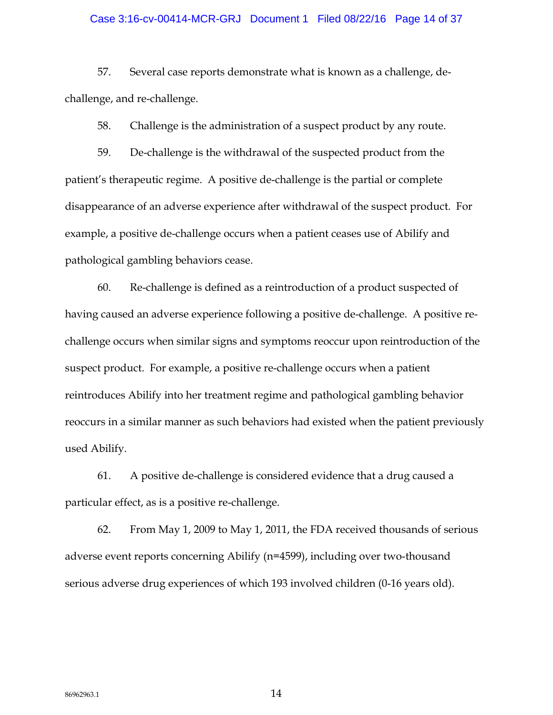### Case 3:16-cv-00414-MCR-GRJ Document 1 Filed 08/22/16 Page 14 of 37

57. Several case reports demonstrate what is known as a challenge, dechallenge, and re-challenge.

58. Challenge is the administration of a suspect product by any route.

59. De-challenge is the withdrawal of the suspected product from the patient's therapeutic regime. A positive de-challenge is the partial or complete disappearance of an adverse experience after withdrawal of the suspect product. For example, a positive de-challenge occurs when a patient ceases use of Abilify and pathological gambling behaviors cease.

60. Re-challenge is defined as a reintroduction of a product suspected of having caused an adverse experience following a positive de-challenge. A positive rechallenge occurs when similar signs and symptoms reoccur upon reintroduction of the suspect product. For example, a positive re-challenge occurs when a patient reintroduces Abilify into her treatment regime and pathological gambling behavior reoccurs in a similar manner as such behaviors had existed when the patient previously used Abilify.

61. A positive de-challenge is considered evidence that a drug caused a particular effect, as is a positive re-challenge.

62. From May 1, 2009 to May 1, 2011, the FDA received thousands of serious adverse event reports concerning Abilify (n=4599), including over two-thousand serious adverse drug experiences of which 193 involved children (0-16 years old).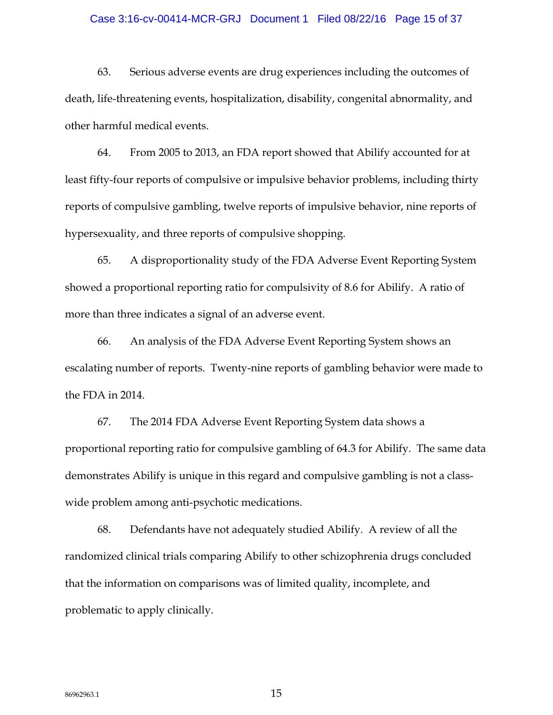#### Case 3:16-cv-00414-MCR-GRJ Document 1 Filed 08/22/16 Page 15 of 37

63. Serious adverse events are drug experiences including the outcomes of death, life-threatening events, hospitalization, disability, congenital abnormality, and other harmful medical events.

64. From 2005 to 2013, an FDA report showed that Abilify accounted for at least fifty-four reports of compulsive or impulsive behavior problems, including thirty reports of compulsive gambling, twelve reports of impulsive behavior, nine reports of hypersexuality, and three reports of compulsive shopping.

65. A disproportionality study of the FDA Adverse Event Reporting System showed a proportional reporting ratio for compulsivity of 8.6 for Abilify. A ratio of more than three indicates a signal of an adverse event.

66. An analysis of the FDA Adverse Event Reporting System shows an escalating number of reports. Twenty-nine reports of gambling behavior were made to the FDA in 2014.

67. The 2014 FDA Adverse Event Reporting System data shows a proportional reporting ratio for compulsive gambling of 64.3 for Abilify. The same data demonstrates Abilify is unique in this regard and compulsive gambling is not a classwide problem among anti-psychotic medications.

68. Defendants have not adequately studied Abilify. A review of all the randomized clinical trials comparing Abilify to other schizophrenia drugs concluded that the information on comparisons was of limited quality, incomplete, and problematic to apply clinically.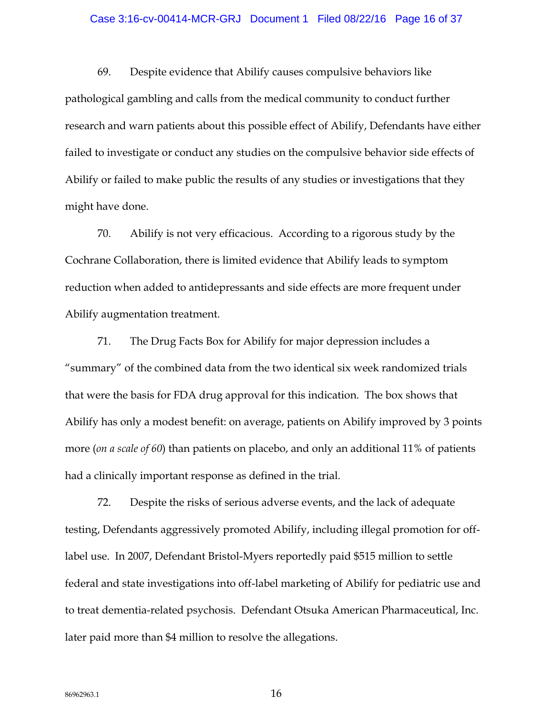#### Case 3:16-cv-00414-MCR-GRJ Document 1 Filed 08/22/16 Page 16 of 37

69. Despite evidence that Abilify causes compulsive behaviors like pathological gambling and calls from the medical community to conduct further research and warn patients about this possible effect of Abilify, Defendants have either failed to investigate or conduct any studies on the compulsive behavior side effects of Abilify or failed to make public the results of any studies or investigations that they might have done.

70. Abilify is not very efficacious. According to a rigorous study by the Cochrane Collaboration, there is limited evidence that Abilify leads to symptom reduction when added to antidepressants and side effects are more frequent under Abilify augmentation treatment.

71. The Drug Facts Box for Abilify for major depression includes a "summary" of the combined data from the two identical six week randomized trials that were the basis for FDA drug approval for this indication. The box shows that Abilify has only a modest benefit: on average, patients on Abilify improved by 3 points more (*on a scale of 60*) than patients on placebo, and only an additional 11% of patients had a clinically important response as defined in the trial.

72. Despite the risks of serious adverse events, and the lack of adequate testing, Defendants aggressively promoted Abilify, including illegal promotion for offlabel use. In 2007, Defendant Bristol-Myers reportedly paid \$515 million to settle federal and state investigations into off-label marketing of Abilify for pediatric use and to treat dementia-related psychosis. Defendant Otsuka American Pharmaceutical, Inc. later paid more than \$4 million to resolve the allegations.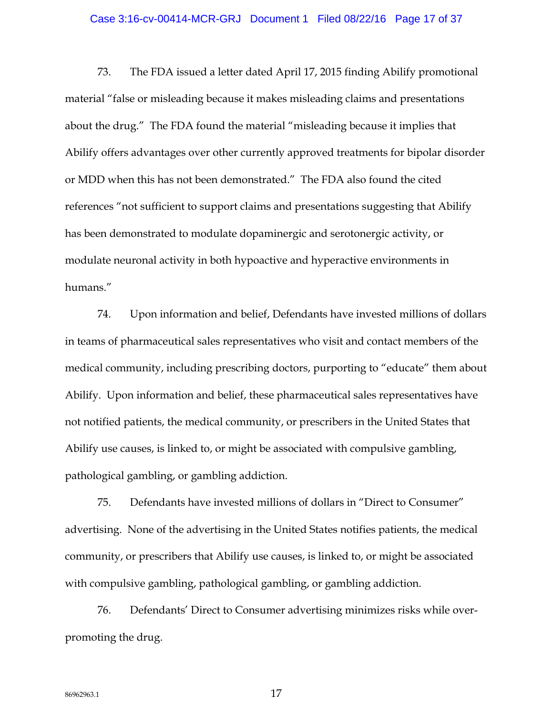### Case 3:16-cv-00414-MCR-GRJ Document 1 Filed 08/22/16 Page 17 of 37

73. The FDA issued a letter dated April 17, 2015 finding Abilify promotional material "false or misleading because it makes misleading claims and presentations about the drug." The FDA found the material "misleading because it implies that Abilify offers advantages over other currently approved treatments for bipolar disorder or MDD when this has not been demonstrated." The FDA also found the cited references "not sufficient to support claims and presentations suggesting that Abilify has been demonstrated to modulate dopaminergic and serotonergic activity, or modulate neuronal activity in both hypoactive and hyperactive environments in humans."

74. Upon information and belief, Defendants have invested millions of dollars in teams of pharmaceutical sales representatives who visit and contact members of the medical community, including prescribing doctors, purporting to "educate" them about Abilify. Upon information and belief, these pharmaceutical sales representatives have not notified patients, the medical community, or prescribers in the United States that Abilify use causes, is linked to, or might be associated with compulsive gambling, pathological gambling, or gambling addiction.

75. Defendants have invested millions of dollars in "Direct to Consumer" advertising. None of the advertising in the United States notifies patients, the medical community, or prescribers that Abilify use causes, is linked to, or might be associated with compulsive gambling, pathological gambling, or gambling addiction.

76. Defendants' Direct to Consumer advertising minimizes risks while overpromoting the drug.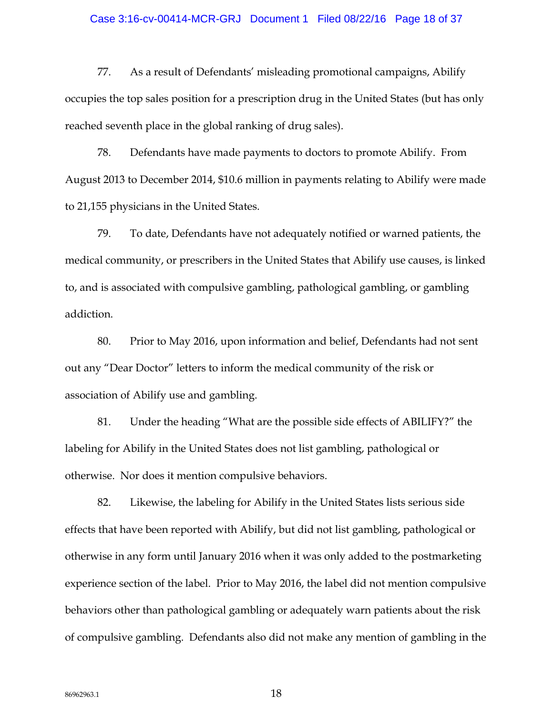#### Case 3:16-cv-00414-MCR-GRJ Document 1 Filed 08/22/16 Page 18 of 37

77. As a result of Defendants' misleading promotional campaigns, Abilify occupies the top sales position for a prescription drug in the United States (but has only reached seventh place in the global ranking of drug sales).

78. Defendants have made payments to doctors to promote Abilify. From August 2013 to December 2014, \$10.6 million in payments relating to Abilify were made to 21,155 physicians in the United States.

79. To date, Defendants have not adequately notified or warned patients, the medical community, or prescribers in the United States that Abilify use causes, is linked to, and is associated with compulsive gambling, pathological gambling, or gambling addiction.

80. Prior to May 2016, upon information and belief, Defendants had not sent out any "Dear Doctor" letters to inform the medical community of the risk or association of Abilify use and gambling.

81. Under the heading "What are the possible side effects of ABILIFY?" the labeling for Abilify in the United States does not list gambling, pathological or otherwise. Nor does it mention compulsive behaviors.

82. Likewise, the labeling for Abilify in the United States lists serious side effects that have been reported with Abilify, but did not list gambling, pathological or otherwise in any form until January 2016 when it was only added to the postmarketing experience section of the label. Prior to May 2016, the label did not mention compulsive behaviors other than pathological gambling or adequately warn patients about the risk of compulsive gambling. Defendants also did not make any mention of gambling in the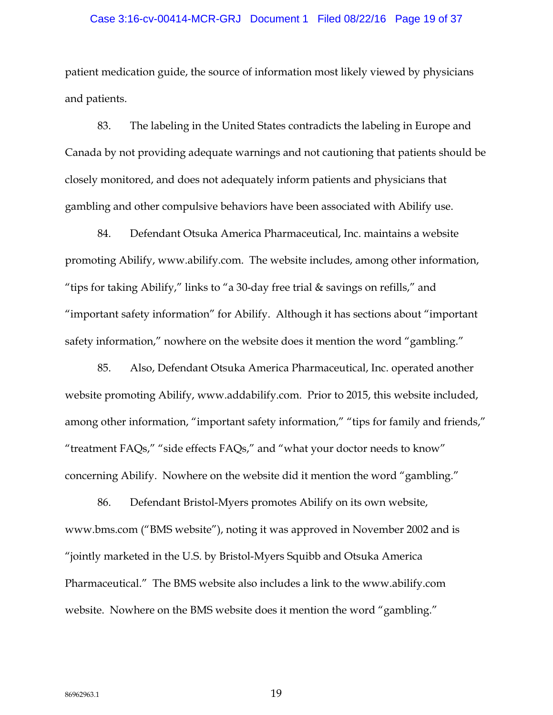### Case 3:16-cv-00414-MCR-GRJ Document 1 Filed 08/22/16 Page 19 of 37

patient medication guide, the source of information most likely viewed by physicians and patients.

83. The labeling in the United States contradicts the labeling in Europe and Canada by not providing adequate warnings and not cautioning that patients should be closely monitored, and does not adequately inform patients and physicians that gambling and other compulsive behaviors have been associated with Abilify use.

84. Defendant Otsuka America Pharmaceutical, Inc. maintains a website promoting Abilify, www.abilify.com. The website includes, among other information, "tips for taking Abilify," links to "a 30-day free trial & savings on refills," and "important safety information" for Abilify. Although it has sections about "important safety information," nowhere on the website does it mention the word "gambling."

85. Also, Defendant Otsuka America Pharmaceutical, Inc. operated another website promoting Abilify, www.addabilify.com. Prior to 2015, this website included, among other information, "important safety information," "tips for family and friends," "treatment FAQs," "side effects FAQs," and "what your doctor needs to know" concerning Abilify. Nowhere on the website did it mention the word "gambling."

86. Defendant Bristol-Myers promotes Abilify on its own website, www.bms.com ("BMS website"), noting it was approved in November 2002 and is "jointly marketed in the U.S. by Bristol-Myers Squibb and Otsuka America Pharmaceutical." The BMS website also includes a link to the www.abilify.com website. Nowhere on the BMS website does it mention the word "gambling."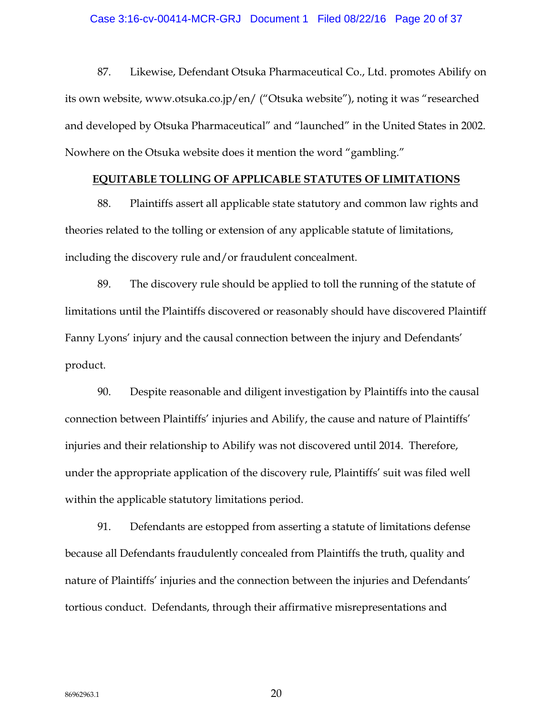87. Likewise, Defendant Otsuka Pharmaceutical Co., Ltd. promotes Abilify on its own website, www.otsuka.co.jp/en/ ("Otsuka website"), noting it was "researched and developed by Otsuka Pharmaceutical" and "launched" in the United States in 2002. Nowhere on the Otsuka website does it mention the word "gambling."

### **EQUITABLE TOLLING OF APPLICABLE STATUTES OF LIMITATIONS**

88. Plaintiffs assert all applicable state statutory and common law rights and theories related to the tolling or extension of any applicable statute of limitations, including the discovery rule and/or fraudulent concealment.

89. The discovery rule should be applied to toll the running of the statute of limitations until the Plaintiffs discovered or reasonably should have discovered Plaintiff Fanny Lyons' injury and the causal connection between the injury and Defendants' product.

90. Despite reasonable and diligent investigation by Plaintiffs into the causal connection between Plaintiffs' injuries and Abilify, the cause and nature of Plaintiffs' injuries and their relationship to Abilify was not discovered until 2014. Therefore, under the appropriate application of the discovery rule, Plaintiffs' suit was filed well within the applicable statutory limitations period.

91. Defendants are estopped from asserting a statute of limitations defense because all Defendants fraudulently concealed from Plaintiffs the truth, quality and nature of Plaintiffs' injuries and the connection between the injuries and Defendants' tortious conduct. Defendants, through their affirmative misrepresentations and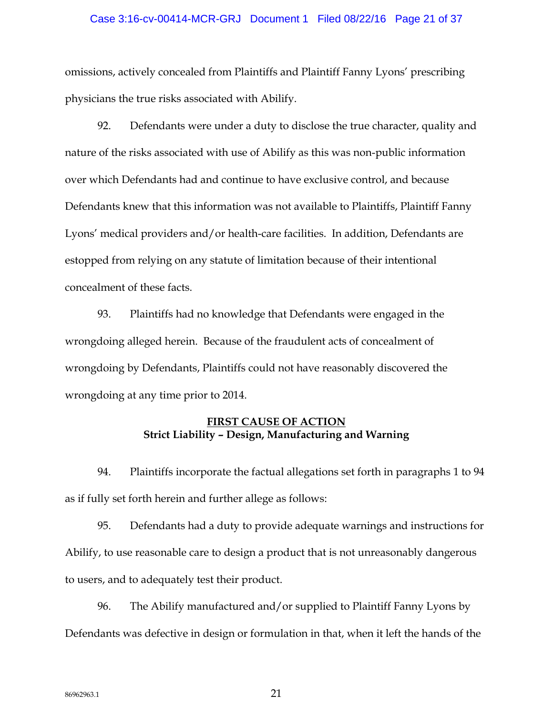### Case 3:16-cv-00414-MCR-GRJ Document 1 Filed 08/22/16 Page 21 of 37

omissions, actively concealed from Plaintiffs and Plaintiff Fanny Lyons' prescribing physicians the true risks associated with Abilify.

92. Defendants were under a duty to disclose the true character, quality and nature of the risks associated with use of Abilify as this was non-public information over which Defendants had and continue to have exclusive control, and because Defendants knew that this information was not available to Plaintiffs, Plaintiff Fanny Lyons' medical providers and/or health-care facilities. In addition, Defendants are estopped from relying on any statute of limitation because of their intentional concealment of these facts.

93. Plaintiffs had no knowledge that Defendants were engaged in the wrongdoing alleged herein. Because of the fraudulent acts of concealment of wrongdoing by Defendants, Plaintiffs could not have reasonably discovered the wrongdoing at any time prior to 2014.

# **FIRST CAUSE OF ACTION Strict Liability – Design, Manufacturing and Warning**

94. Plaintiffs incorporate the factual allegations set forth in paragraphs 1 to 94 as if fully set forth herein and further allege as follows:

95. Defendants had a duty to provide adequate warnings and instructions for Abilify, to use reasonable care to design a product that is not unreasonably dangerous to users, and to adequately test their product.

96. The Abilify manufactured and/or supplied to Plaintiff Fanny Lyons by Defendants was defective in design or formulation in that, when it left the hands of the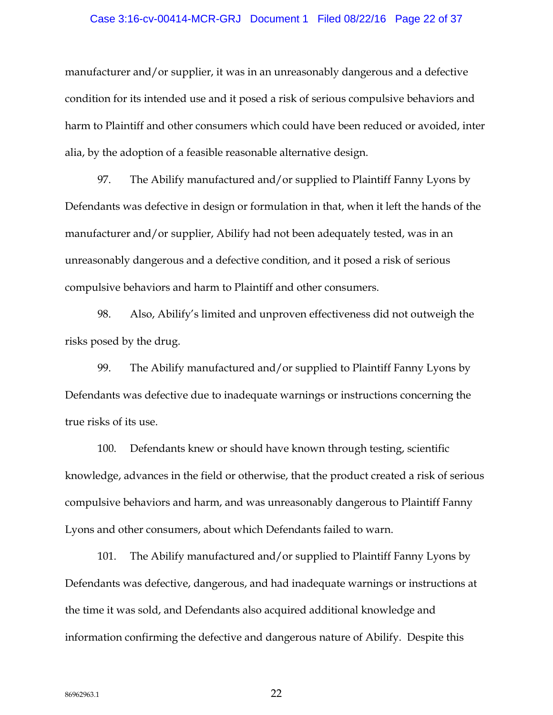### Case 3:16-cv-00414-MCR-GRJ Document 1 Filed 08/22/16 Page 22 of 37

manufacturer and/or supplier, it was in an unreasonably dangerous and a defective condition for its intended use and it posed a risk of serious compulsive behaviors and harm to Plaintiff and other consumers which could have been reduced or avoided, inter alia, by the adoption of a feasible reasonable alternative design.

97. The Abilify manufactured and/or supplied to Plaintiff Fanny Lyons by Defendants was defective in design or formulation in that, when it left the hands of the manufacturer and/or supplier, Abilify had not been adequately tested, was in an unreasonably dangerous and a defective condition, and it posed a risk of serious compulsive behaviors and harm to Plaintiff and other consumers.

98. Also, Abilify's limited and unproven effectiveness did not outweigh the risks posed by the drug.

99. The Abilify manufactured and/or supplied to Plaintiff Fanny Lyons by Defendants was defective due to inadequate warnings or instructions concerning the true risks of its use.

100. Defendants knew or should have known through testing, scientific knowledge, advances in the field or otherwise, that the product created a risk of serious compulsive behaviors and harm, and was unreasonably dangerous to Plaintiff Fanny Lyons and other consumers, about which Defendants failed to warn.

101. The Abilify manufactured and/or supplied to Plaintiff Fanny Lyons by Defendants was defective, dangerous, and had inadequate warnings or instructions at the time it was sold, and Defendants also acquired additional knowledge and information confirming the defective and dangerous nature of Abilify. Despite this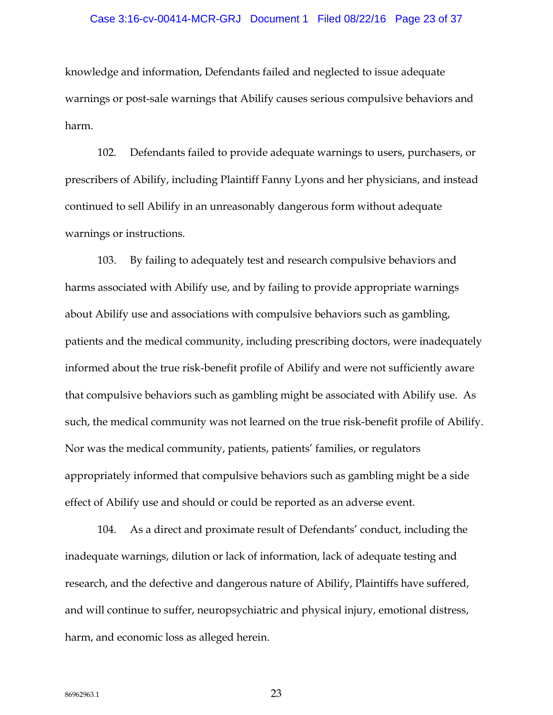#### Case 3:16-cv-00414-MCR-GRJ Document 1 Filed 08/22/16 Page 23 of 37

knowledge and information, Defendants failed and neglected to issue adequate warnings or post-sale warnings that Abilify causes serious compulsive behaviors and harm.

102. Defendants failed to provide adequate warnings to users, purchasers, or prescribers of Abilify, including Plaintiff Fanny Lyons and her physicians, and instead continued to sell Abilify in an unreasonably dangerous form without adequate warnings or instructions.

103. By failing to adequately test and research compulsive behaviors and harms associated with Abilify use, and by failing to provide appropriate warnings about Abilify use and associations with compulsive behaviors such as gambling, patients and the medical community, including prescribing doctors, were inadequately informed about the true risk-benefit profile of Abilify and were not sufficiently aware that compulsive behaviors such as gambling might be associated with Abilify use. As such, the medical community was not learned on the true risk-benefit profile of Abilify. Nor was the medical community, patients, patients' families, or regulators appropriately informed that compulsive behaviors such as gambling might be a side effect of Abilify use and should or could be reported as an adverse event.

104. As a direct and proximate result of Defendants' conduct, including the inadequate warnings, dilution or lack of information, lack of adequate testing and research, and the defective and dangerous nature of Abilify, Plaintiffs have suffered, and will continue to suffer, neuropsychiatric and physical injury, emotional distress, harm, and economic loss as alleged herein.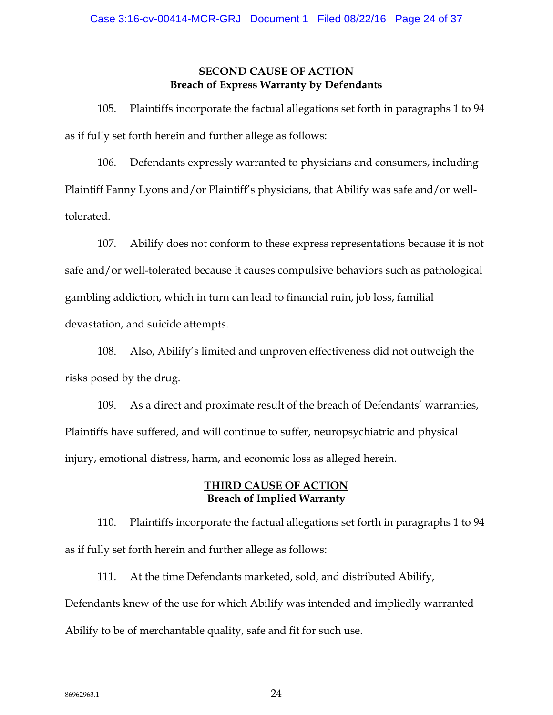## **SECOND CAUSE OF ACTION Breach of Express Warranty by Defendants**

105. Plaintiffs incorporate the factual allegations set forth in paragraphs 1 to 94 as if fully set forth herein and further allege as follows:

106. Defendants expressly warranted to physicians and consumers, including Plaintiff Fanny Lyons and/or Plaintiff's physicians, that Abilify was safe and/or welltolerated.

107. Abilify does not conform to these express representations because it is not safe and/or well-tolerated because it causes compulsive behaviors such as pathological gambling addiction, which in turn can lead to financial ruin, job loss, familial devastation, and suicide attempts.

108. Also, Abilify's limited and unproven effectiveness did not outweigh the risks posed by the drug.

109. As a direct and proximate result of the breach of Defendants' warranties, Plaintiffs have suffered, and will continue to suffer, neuropsychiatric and physical injury, emotional distress, harm, and economic loss as alleged herein.

# **THIRD CAUSE OF ACTION Breach of Implied Warranty**

110. Plaintiffs incorporate the factual allegations set forth in paragraphs 1 to 94 as if fully set forth herein and further allege as follows:

111. At the time Defendants marketed, sold, and distributed Abilify, Defendants knew of the use for which Abilify was intended and impliedly warranted Abilify to be of merchantable quality, safe and fit for such use.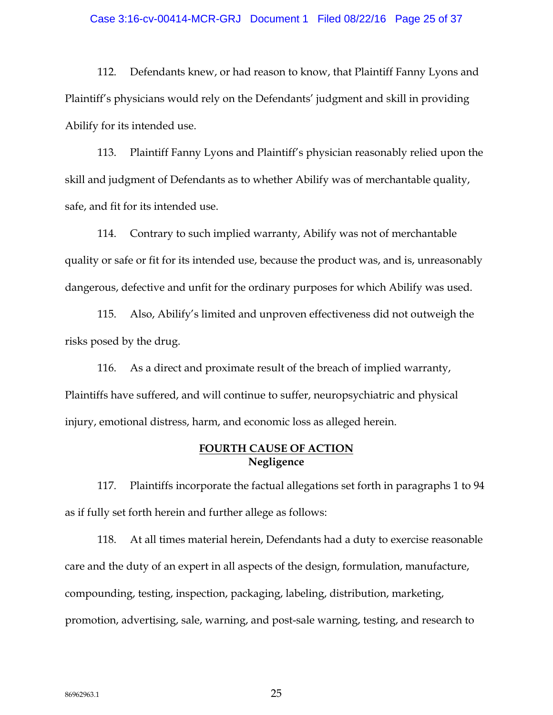#### Case 3:16-cv-00414-MCR-GRJ Document 1 Filed 08/22/16 Page 25 of 37

112. Defendants knew, or had reason to know, that Plaintiff Fanny Lyons and Plaintiff's physicians would rely on the Defendants' judgment and skill in providing Abilify for its intended use.

113. Plaintiff Fanny Lyons and Plaintiff's physician reasonably relied upon the skill and judgment of Defendants as to whether Abilify was of merchantable quality, safe, and fit for its intended use.

114. Contrary to such implied warranty, Abilify was not of merchantable quality or safe or fit for its intended use, because the product was, and is, unreasonably dangerous, defective and unfit for the ordinary purposes for which Abilify was used.

115. Also, Abilify's limited and unproven effectiveness did not outweigh the risks posed by the drug.

116. As a direct and proximate result of the breach of implied warranty, Plaintiffs have suffered, and will continue to suffer, neuropsychiatric and physical injury, emotional distress, harm, and economic loss as alleged herein.

## **FOURTH CAUSE OF ACTION Negligence**

117. Plaintiffs incorporate the factual allegations set forth in paragraphs 1 to 94 as if fully set forth herein and further allege as follows:

118. At all times material herein, Defendants had a duty to exercise reasonable care and the duty of an expert in all aspects of the design, formulation, manufacture, compounding, testing, inspection, packaging, labeling, distribution, marketing, promotion, advertising, sale, warning, and post-sale warning, testing, and research to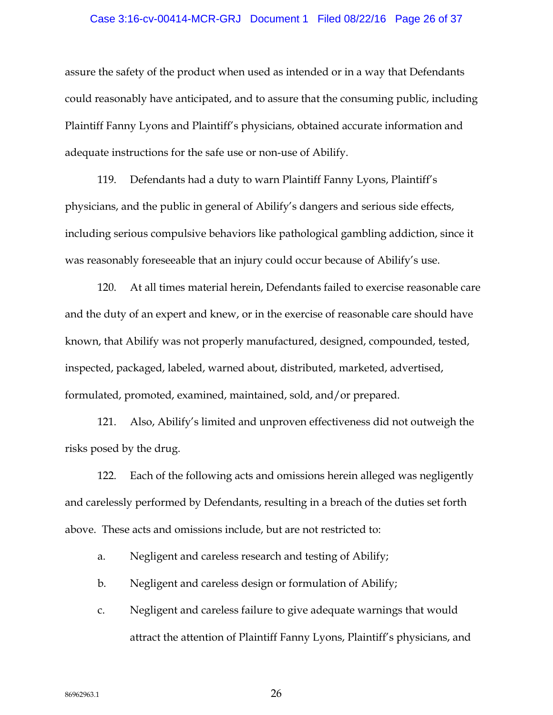### Case 3:16-cv-00414-MCR-GRJ Document 1 Filed 08/22/16 Page 26 of 37

assure the safety of the product when used as intended or in a way that Defendants could reasonably have anticipated, and to assure that the consuming public, including Plaintiff Fanny Lyons and Plaintiff's physicians, obtained accurate information and adequate instructions for the safe use or non-use of Abilify.

119. Defendants had a duty to warn Plaintiff Fanny Lyons, Plaintiff's physicians, and the public in general of Abilify's dangers and serious side effects, including serious compulsive behaviors like pathological gambling addiction, since it was reasonably foreseeable that an injury could occur because of Abilify's use.

120. At all times material herein, Defendants failed to exercise reasonable care and the duty of an expert and knew, or in the exercise of reasonable care should have known, that Abilify was not properly manufactured, designed, compounded, tested, inspected, packaged, labeled, warned about, distributed, marketed, advertised, formulated, promoted, examined, maintained, sold, and/or prepared.

121. Also, Abilify's limited and unproven effectiveness did not outweigh the risks posed by the drug.

122. Each of the following acts and omissions herein alleged was negligently and carelessly performed by Defendants, resulting in a breach of the duties set forth above. These acts and omissions include, but are not restricted to:

- a. Negligent and careless research and testing of Abilify;
- b. Negligent and careless design or formulation of Abilify;
- c. Negligent and careless failure to give adequate warnings that would attract the attention of Plaintiff Fanny Lyons, Plaintiff's physicians, and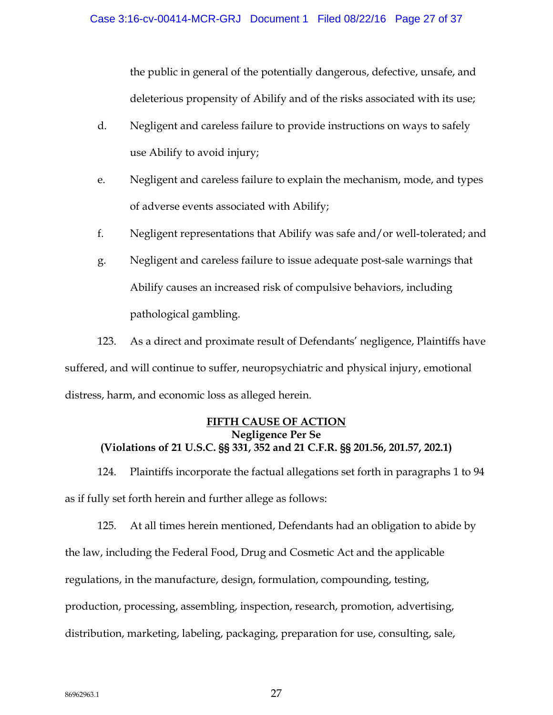the public in general of the potentially dangerous, defective, unsafe, and deleterious propensity of Abilify and of the risks associated with its use;

- d. Negligent and careless failure to provide instructions on ways to safely use Abilify to avoid injury;
- e. Negligent and careless failure to explain the mechanism, mode, and types of adverse events associated with Abilify;
- f. Negligent representations that Abilify was safe and/or well-tolerated; and
- g. Negligent and careless failure to issue adequate post-sale warnings that Abilify causes an increased risk of compulsive behaviors, including pathological gambling.

123. As a direct and proximate result of Defendants' negligence, Plaintiffs have suffered, and will continue to suffer, neuropsychiatric and physical injury, emotional distress, harm, and economic loss as alleged herein.

## **FIFTH CAUSE OF ACTION Negligence Per Se (Violations of 21 U.S.C. §§ 331, 352 and 21 C.F.R. §§ 201.56, 201.57, 202.1)**

124. Plaintiffs incorporate the factual allegations set forth in paragraphs 1 to 94 as if fully set forth herein and further allege as follows:

125. At all times herein mentioned, Defendants had an obligation to abide by the law, including the Federal Food, Drug and Cosmetic Act and the applicable regulations, in the manufacture, design, formulation, compounding, testing, production, processing, assembling, inspection, research, promotion, advertising, distribution, marketing, labeling, packaging, preparation for use, consulting, sale,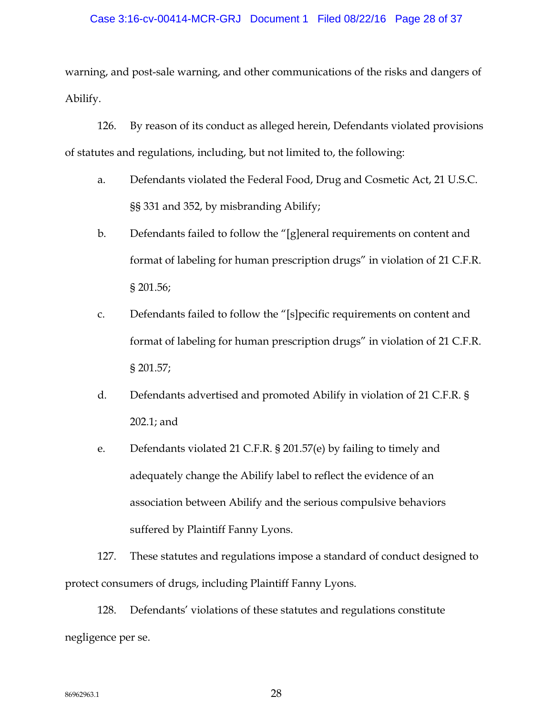### Case 3:16-cv-00414-MCR-GRJ Document 1 Filed 08/22/16 Page 28 of 37

warning, and post-sale warning, and other communications of the risks and dangers of Abilify.

126. By reason of its conduct as alleged herein, Defendants violated provisions of statutes and regulations, including, but not limited to, the following:

- a. Defendants violated the Federal Food, Drug and Cosmetic Act, 21 U.S.C. §§ 331 and 352, by misbranding Abilify;
- b. Defendants failed to follow the "[g]eneral requirements on content and format of labeling for human prescription drugs" in violation of 21 C.F.R. § 201.56;
- c. Defendants failed to follow the "[s]pecific requirements on content and format of labeling for human prescription drugs" in violation of 21 C.F.R. § 201.57;
- d. Defendants advertised and promoted Abilify in violation of 21 C.F.R. § 202.1; and
- e. Defendants violated 21 C.F.R. § 201.57(e) by failing to timely and adequately change the Abilify label to reflect the evidence of an association between Abilify and the serious compulsive behaviors suffered by Plaintiff Fanny Lyons.

127. These statutes and regulations impose a standard of conduct designed to protect consumers of drugs, including Plaintiff Fanny Lyons.

128. Defendants' violations of these statutes and regulations constitute negligence per se.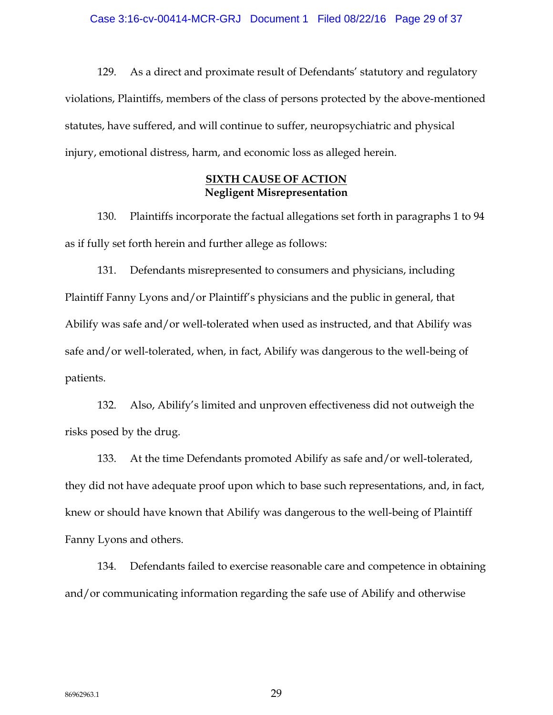129. As a direct and proximate result of Defendants' statutory and regulatory violations, Plaintiffs, members of the class of persons protected by the above-mentioned statutes, have suffered, and will continue to suffer, neuropsychiatric and physical injury, emotional distress, harm, and economic loss as alleged herein.

## **SIXTH CAUSE OF ACTION Negligent Misrepresentation**

130. Plaintiffs incorporate the factual allegations set forth in paragraphs 1 to 94 as if fully set forth herein and further allege as follows:

131. Defendants misrepresented to consumers and physicians, including Plaintiff Fanny Lyons and/or Plaintiff's physicians and the public in general, that Abilify was safe and/or well-tolerated when used as instructed, and that Abilify was safe and/or well-tolerated, when, in fact, Abilify was dangerous to the well-being of patients.

132. Also, Abilify's limited and unproven effectiveness did not outweigh the risks posed by the drug.

133. At the time Defendants promoted Abilify as safe and/or well-tolerated, they did not have adequate proof upon which to base such representations, and, in fact, knew or should have known that Abilify was dangerous to the well-being of Plaintiff Fanny Lyons and others.

134. Defendants failed to exercise reasonable care and competence in obtaining and/or communicating information regarding the safe use of Abilify and otherwise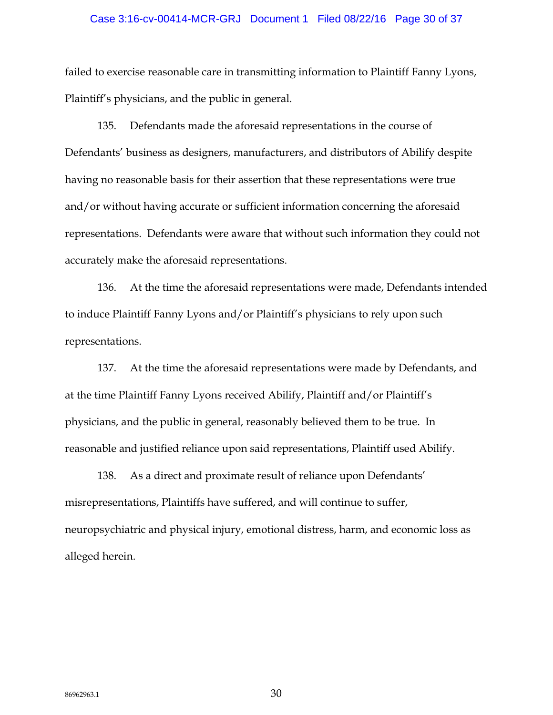### Case 3:16-cv-00414-MCR-GRJ Document 1 Filed 08/22/16 Page 30 of 37

failed to exercise reasonable care in transmitting information to Plaintiff Fanny Lyons, Plaintiff's physicians, and the public in general.

135. Defendants made the aforesaid representations in the course of Defendants' business as designers, manufacturers, and distributors of Abilify despite having no reasonable basis for their assertion that these representations were true and/or without having accurate or sufficient information concerning the aforesaid representations. Defendants were aware that without such information they could not accurately make the aforesaid representations.

136. At the time the aforesaid representations were made, Defendants intended to induce Plaintiff Fanny Lyons and/or Plaintiff's physicians to rely upon such representations.

137. At the time the aforesaid representations were made by Defendants, and at the time Plaintiff Fanny Lyons received Abilify, Plaintiff and/or Plaintiff's physicians, and the public in general, reasonably believed them to be true. In reasonable and justified reliance upon said representations, Plaintiff used Abilify.

138. As a direct and proximate result of reliance upon Defendants' misrepresentations, Plaintiffs have suffered, and will continue to suffer, neuropsychiatric and physical injury, emotional distress, harm, and economic loss as alleged herein.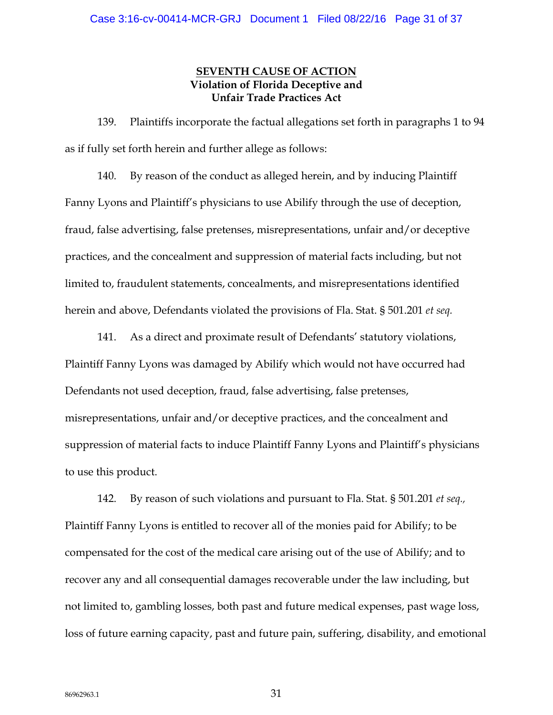## **SEVENTH CAUSE OF ACTION Violation of Florida Deceptive and Unfair Trade Practices Act**

139. Plaintiffs incorporate the factual allegations set forth in paragraphs 1 to 94 as if fully set forth herein and further allege as follows:

140. By reason of the conduct as alleged herein, and by inducing Plaintiff Fanny Lyons and Plaintiff's physicians to use Abilify through the use of deception, fraud, false advertising, false pretenses, misrepresentations, unfair and/or deceptive practices, and the concealment and suppression of material facts including, but not limited to, fraudulent statements, concealments, and misrepresentations identified herein and above, Defendants violated the provisions of Fla. Stat. § 501.201 *et seq.*

141. As a direct and proximate result of Defendants' statutory violations, Plaintiff Fanny Lyons was damaged by Abilify which would not have occurred had Defendants not used deception, fraud, false advertising, false pretenses, misrepresentations, unfair and/or deceptive practices, and the concealment and suppression of material facts to induce Plaintiff Fanny Lyons and Plaintiff's physicians to use this product.

142. By reason of such violations and pursuant to Fla. Stat. § 501.201 *et seq.,* Plaintiff Fanny Lyons is entitled to recover all of the monies paid for Abilify; to be compensated for the cost of the medical care arising out of the use of Abilify; and to recover any and all consequential damages recoverable under the law including, but not limited to, gambling losses, both past and future medical expenses, past wage loss, loss of future earning capacity, past and future pain, suffering, disability, and emotional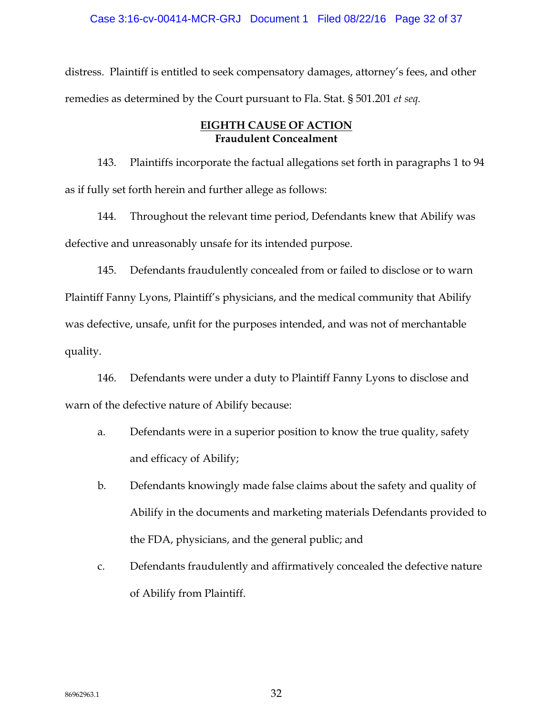distress. Plaintiff is entitled to seek compensatory damages, attorney's fees, and other remedies as determined by the Court pursuant to Fla. Stat. § 501.201 *et seq.*

## **EIGHTH CAUSE OF ACTION Fraudulent Concealment**

143. Plaintiffs incorporate the factual allegations set forth in paragraphs 1 to 94 as if fully set forth herein and further allege as follows:

144. Throughout the relevant time period, Defendants knew that Abilify was defective and unreasonably unsafe for its intended purpose.

145. Defendants fraudulently concealed from or failed to disclose or to warn Plaintiff Fanny Lyons, Plaintiff's physicians, and the medical community that Abilify was defective, unsafe, unfit for the purposes intended, and was not of merchantable quality.

146. Defendants were under a duty to Plaintiff Fanny Lyons to disclose and warn of the defective nature of Abilify because:

- a. Defendants were in a superior position to know the true quality, safety and efficacy of Abilify;
- b. Defendants knowingly made false claims about the safety and quality of Abilify in the documents and marketing materials Defendants provided to the FDA, physicians, and the general public; and
- c. Defendants fraudulently and affirmatively concealed the defective nature of Abilify from Plaintiff.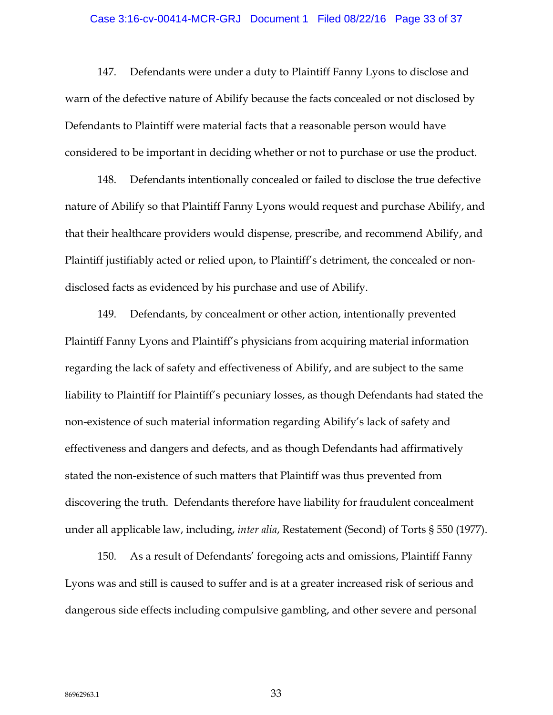### Case 3:16-cv-00414-MCR-GRJ Document 1 Filed 08/22/16 Page 33 of 37

147. Defendants were under a duty to Plaintiff Fanny Lyons to disclose and warn of the defective nature of Abilify because the facts concealed or not disclosed by Defendants to Plaintiff were material facts that a reasonable person would have considered to be important in deciding whether or not to purchase or use the product.

148. Defendants intentionally concealed or failed to disclose the true defective nature of Abilify so that Plaintiff Fanny Lyons would request and purchase Abilify, and that their healthcare providers would dispense, prescribe, and recommend Abilify, and Plaintiff justifiably acted or relied upon, to Plaintiff's detriment, the concealed or nondisclosed facts as evidenced by his purchase and use of Abilify.

149. Defendants, by concealment or other action, intentionally prevented Plaintiff Fanny Lyons and Plaintiff's physicians from acquiring material information regarding the lack of safety and effectiveness of Abilify, and are subject to the same liability to Plaintiff for Plaintiff's pecuniary losses, as though Defendants had stated the non-existence of such material information regarding Abilify's lack of safety and effectiveness and dangers and defects, and as though Defendants had affirmatively stated the non-existence of such matters that Plaintiff was thus prevented from discovering the truth. Defendants therefore have liability for fraudulent concealment under all applicable law, including, *inter alia*, Restatement (Second) of Torts § 550 (1977).

150. As a result of Defendants' foregoing acts and omissions, Plaintiff Fanny Lyons was and still is caused to suffer and is at a greater increased risk of serious and dangerous side effects including compulsive gambling, and other severe and personal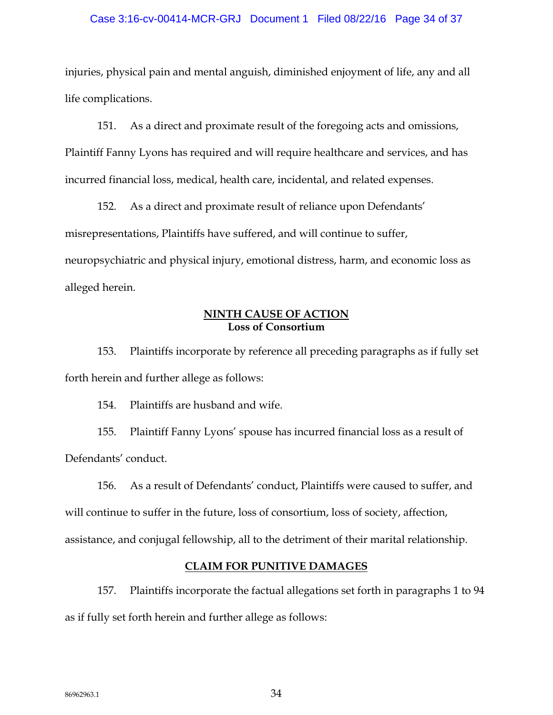### Case 3:16-cv-00414-MCR-GRJ Document 1 Filed 08/22/16 Page 34 of 37

injuries, physical pain and mental anguish, diminished enjoyment of life, any and all life complications.

151. As a direct and proximate result of the foregoing acts and omissions, Plaintiff Fanny Lyons has required and will require healthcare and services, and has incurred financial loss, medical, health care, incidental, and related expenses.

152. As a direct and proximate result of reliance upon Defendants' misrepresentations, Plaintiffs have suffered, and will continue to suffer, neuropsychiatric and physical injury, emotional distress, harm, and economic loss as alleged herein.

## **NINTH CAUSE OF ACTION Loss of Consortium**

153. Plaintiffs incorporate by reference all preceding paragraphs as if fully set forth herein and further allege as follows:

154. Plaintiffs are husband and wife.

155. Plaintiff Fanny Lyons' spouse has incurred financial loss as a result of Defendants' conduct.

156. As a result of Defendants' conduct, Plaintiffs were caused to suffer, and will continue to suffer in the future, loss of consortium, loss of society, affection, assistance, and conjugal fellowship, all to the detriment of their marital relationship.

## **CLAIM FOR PUNITIVE DAMAGES**

157. Plaintiffs incorporate the factual allegations set forth in paragraphs 1 to 94 as if fully set forth herein and further allege as follows: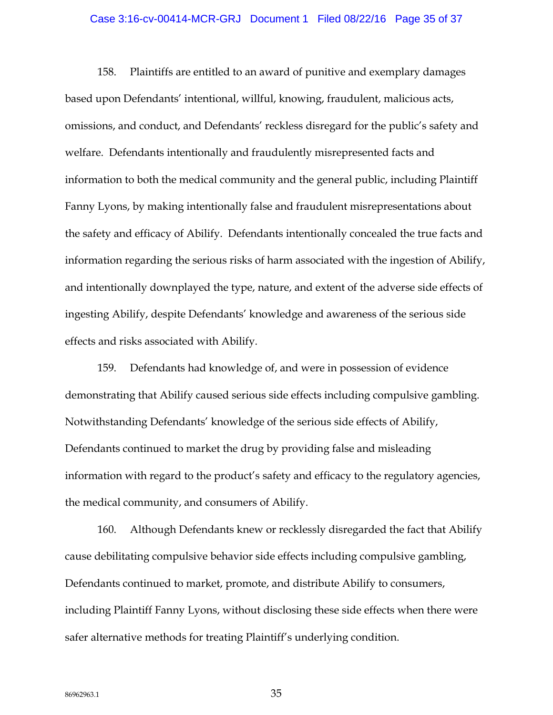### Case 3:16-cv-00414-MCR-GRJ Document 1 Filed 08/22/16 Page 35 of 37

158. Plaintiffs are entitled to an award of punitive and exemplary damages based upon Defendants' intentional, willful, knowing, fraudulent, malicious acts, omissions, and conduct, and Defendants' reckless disregard for the public's safety and welfare. Defendants intentionally and fraudulently misrepresented facts and information to both the medical community and the general public, including Plaintiff Fanny Lyons, by making intentionally false and fraudulent misrepresentations about the safety and efficacy of Abilify. Defendants intentionally concealed the true facts and information regarding the serious risks of harm associated with the ingestion of Abilify, and intentionally downplayed the type, nature, and extent of the adverse side effects of ingesting Abilify, despite Defendants' knowledge and awareness of the serious side effects and risks associated with Abilify.

159. Defendants had knowledge of, and were in possession of evidence demonstrating that Abilify caused serious side effects including compulsive gambling. Notwithstanding Defendants' knowledge of the serious side effects of Abilify, Defendants continued to market the drug by providing false and misleading information with regard to the product's safety and efficacy to the regulatory agencies, the medical community, and consumers of Abilify.

160. Although Defendants knew or recklessly disregarded the fact that Abilify cause debilitating compulsive behavior side effects including compulsive gambling, Defendants continued to market, promote, and distribute Abilify to consumers, including Plaintiff Fanny Lyons, without disclosing these side effects when there were safer alternative methods for treating Plaintiff's underlying condition.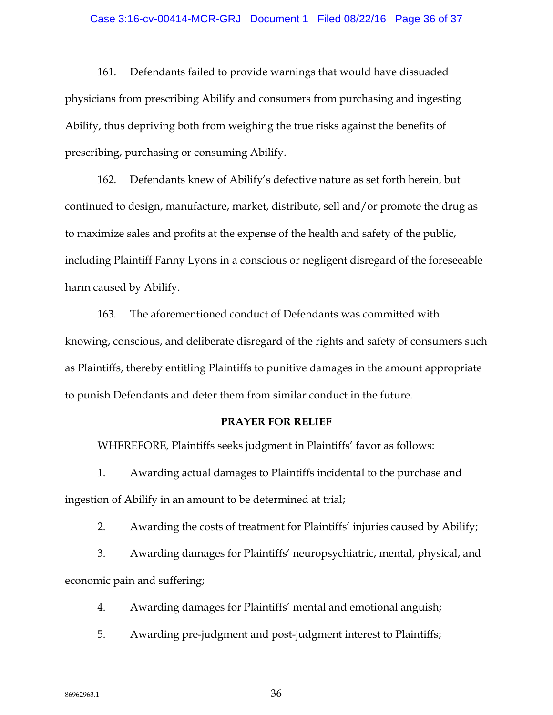### Case 3:16-cv-00414-MCR-GRJ Document 1 Filed 08/22/16 Page 36 of 37

161. Defendants failed to provide warnings that would have dissuaded physicians from prescribing Abilify and consumers from purchasing and ingesting Abilify, thus depriving both from weighing the true risks against the benefits of prescribing, purchasing or consuming Abilify.

162. Defendants knew of Abilify's defective nature as set forth herein, but continued to design, manufacture, market, distribute, sell and/or promote the drug as to maximize sales and profits at the expense of the health and safety of the public, including Plaintiff Fanny Lyons in a conscious or negligent disregard of the foreseeable harm caused by Abilify.

163. The aforementioned conduct of Defendants was committed with knowing, conscious, and deliberate disregard of the rights and safety of consumers such as Plaintiffs, thereby entitling Plaintiffs to punitive damages in the amount appropriate to punish Defendants and deter them from similar conduct in the future.

### **PRAYER FOR RELIEF**

WHEREFORE, Plaintiffs seeks judgment in Plaintiffs' favor as follows:

1. Awarding actual damages to Plaintiffs incidental to the purchase and ingestion of Abilify in an amount to be determined at trial;

2. Awarding the costs of treatment for Plaintiffs' injuries caused by Abilify;

3. Awarding damages for Plaintiffs' neuropsychiatric, mental, physical, and economic pain and suffering;

4. Awarding damages for Plaintiffs' mental and emotional anguish;

5. Awarding pre-judgment and post-judgment interest to Plaintiffs;